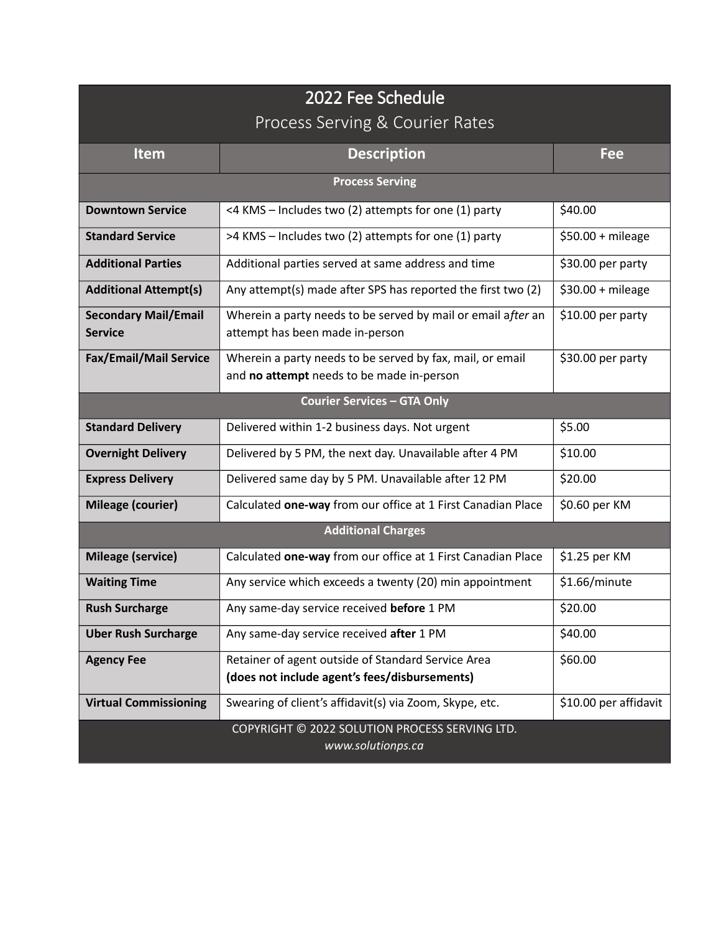## 2022 Fee Schedule Process Serving & Courier Rates

| <b>Item</b>                                   | <b>Description</b>                                                                                     | Fee                   |  |  |
|-----------------------------------------------|--------------------------------------------------------------------------------------------------------|-----------------------|--|--|
| <b>Process Serving</b>                        |                                                                                                        |                       |  |  |
| <b>Downtown Service</b>                       | <4 KMS - Includes two (2) attempts for one (1) party                                                   | \$40.00               |  |  |
| <b>Standard Service</b>                       | >4 KMS - Includes two (2) attempts for one (1) party                                                   | $$50.00 + mileage$    |  |  |
| <b>Additional Parties</b>                     | Additional parties served at same address and time                                                     | \$30.00 per party     |  |  |
| <b>Additional Attempt(s)</b>                  | Any attempt(s) made after SPS has reported the first two (2)                                           | $$30.00 + mileage$    |  |  |
| <b>Secondary Mail/Email</b><br><b>Service</b> | Wherein a party needs to be served by mail or email after an<br>attempt has been made in-person        | \$10.00 per party     |  |  |
| Fax/Email/Mail Service                        | Wherein a party needs to be served by fax, mail, or email<br>and no attempt needs to be made in-person | \$30.00 per party     |  |  |
| <b>Courier Services - GTA Only</b>            |                                                                                                        |                       |  |  |
| <b>Standard Delivery</b>                      | Delivered within 1-2 business days. Not urgent                                                         | \$5.00                |  |  |
| <b>Overnight Delivery</b>                     | Delivered by 5 PM, the next day. Unavailable after 4 PM                                                | \$10.00               |  |  |
| <b>Express Delivery</b>                       | Delivered same day by 5 PM. Unavailable after 12 PM                                                    | \$20.00               |  |  |
| Mileage (courier)                             | Calculated one-way from our office at 1 First Canadian Place                                           | \$0.60 per KM         |  |  |
| <b>Additional Charges</b>                     |                                                                                                        |                       |  |  |
| <b>Mileage (service)</b>                      | Calculated one-way from our office at 1 First Canadian Place                                           | \$1.25 per KM         |  |  |
| <b>Waiting Time</b>                           | Any service which exceeds a twenty (20) min appointment                                                | \$1.66/minute         |  |  |
| <b>Rush Surcharge</b>                         | Any same-day service received before 1 PM                                                              | \$20.00               |  |  |
| <b>Uber Rush Surcharge</b>                    | Any same-day service received after 1 PM                                                               | \$40.00               |  |  |
| <b>Agency Fee</b>                             | Retainer of agent outside of Standard Service Area<br>(does not include agent's fees/disbursements)    | \$60.00               |  |  |
| <b>Virtual Commissioning</b>                  | Swearing of client's affidavit(s) via Zoom, Skype, etc.                                                | \$10.00 per affidavit |  |  |
|                                               | COPYRIGHT © 2022 SOLUTION PROCESS SERVING LTD.<br>www.solutionps.ca                                    |                       |  |  |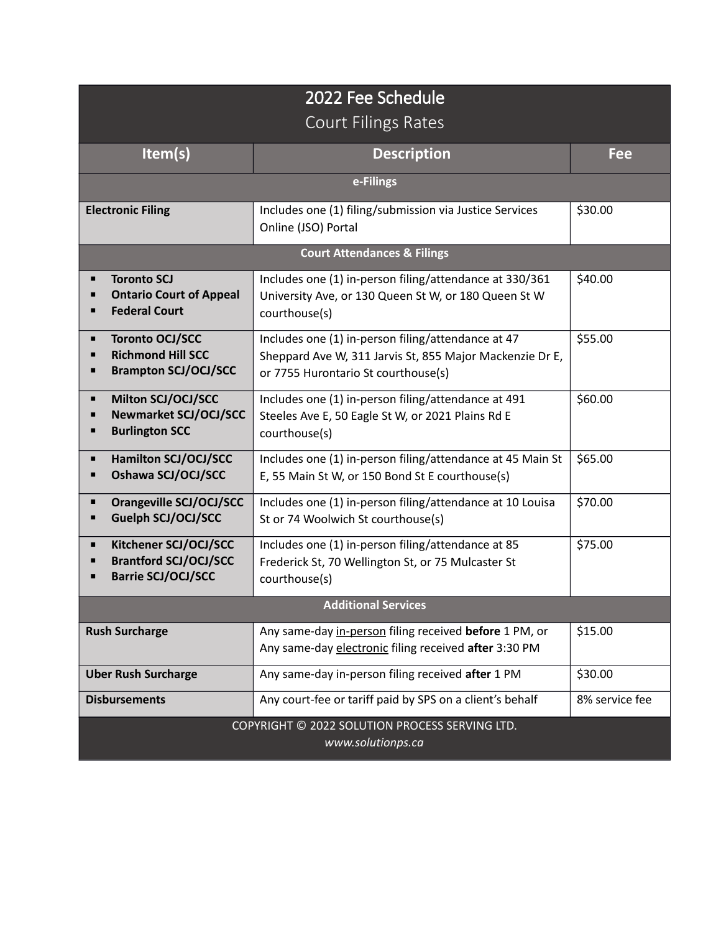| 2022 Fee Schedule                                                                                |                                                                                                                                                       |                |  |  |
|--------------------------------------------------------------------------------------------------|-------------------------------------------------------------------------------------------------------------------------------------------------------|----------------|--|--|
| <b>Court Filings Rates</b>                                                                       |                                                                                                                                                       |                |  |  |
| Item(s)                                                                                          | <b>Description</b>                                                                                                                                    | <b>Fee</b>     |  |  |
| e-Filings                                                                                        |                                                                                                                                                       |                |  |  |
| <b>Electronic Filing</b>                                                                         | Includes one (1) filing/submission via Justice Services<br>Online (JSO) Portal                                                                        | \$30.00        |  |  |
| <b>Court Attendances &amp; Filings</b>                                                           |                                                                                                                                                       |                |  |  |
| <b>Toronto SCJ</b><br><b>Ontario Court of Appeal</b><br><b>Federal Court</b>                     | Includes one (1) in-person filing/attendance at 330/361<br>University Ave, or 130 Queen St W, or 180 Queen St W<br>courthouse(s)                      | \$40.00        |  |  |
| <b>Toronto OCJ/SCC</b><br>п<br><b>Richmond Hill SCC</b><br>п<br><b>Brampton SCJ/OCJ/SCC</b><br>п | Includes one (1) in-person filing/attendance at 47<br>Sheppard Ave W, 311 Jarvis St, 855 Major Mackenzie Dr E,<br>or 7755 Hurontario St courthouse(s) | \$55.00        |  |  |
| Milton SCJ/OCJ/SCC<br>п<br><b>Newmarket SCJ/OCJ/SCC</b><br>п<br><b>Burlington SCC</b>            | Includes one (1) in-person filing/attendance at 491<br>Steeles Ave E, 50 Eagle St W, or 2021 Plains Rd E<br>courthouse(s)                             | \$60.00        |  |  |
| Hamilton SCJ/OCJ/SCC<br>п<br>Oshawa SCJ/OCJ/SCC<br>п                                             | Includes one (1) in-person filing/attendance at 45 Main St<br>E, 55 Main St W, or 150 Bond St E courthouse(s)                                         | \$65.00        |  |  |
| <b>Orangeville SCJ/OCJ/SCC</b><br>п<br><b>Guelph SCJ/OCJ/SCC</b><br>п                            | Includes one (1) in-person filing/attendance at 10 Louisa<br>St or 74 Woolwich St courthouse(s)                                                       | \$70.00        |  |  |
| Kitchener SCJ/OCJ/SCC<br>п<br><b>Brantford SCJ/OCJ/SCC</b><br><b>Barrie SCJ/OCJ/SCC</b>          | Includes one (1) in-person filing/attendance at 85<br>Frederick St, 70 Wellington St, or 75 Mulcaster St<br>courthouse(s)                             | \$75.00        |  |  |
| <b>Additional Services</b>                                                                       |                                                                                                                                                       |                |  |  |
| <b>Rush Surcharge</b>                                                                            | Any same-day in-person filing received before 1 PM, or<br>Any same-day electronic filing received after 3:30 PM                                       | \$15.00        |  |  |
| <b>Uber Rush Surcharge</b>                                                                       | Any same-day in-person filing received after 1 PM                                                                                                     | \$30.00        |  |  |
| <b>Disbursements</b>                                                                             | Any court-fee or tariff paid by SPS on a client's behalf                                                                                              | 8% service fee |  |  |
| COPYRIGHT © 2022 SOLUTION PROCESS SERVING LTD.<br>www.solutionps.ca                              |                                                                                                                                                       |                |  |  |